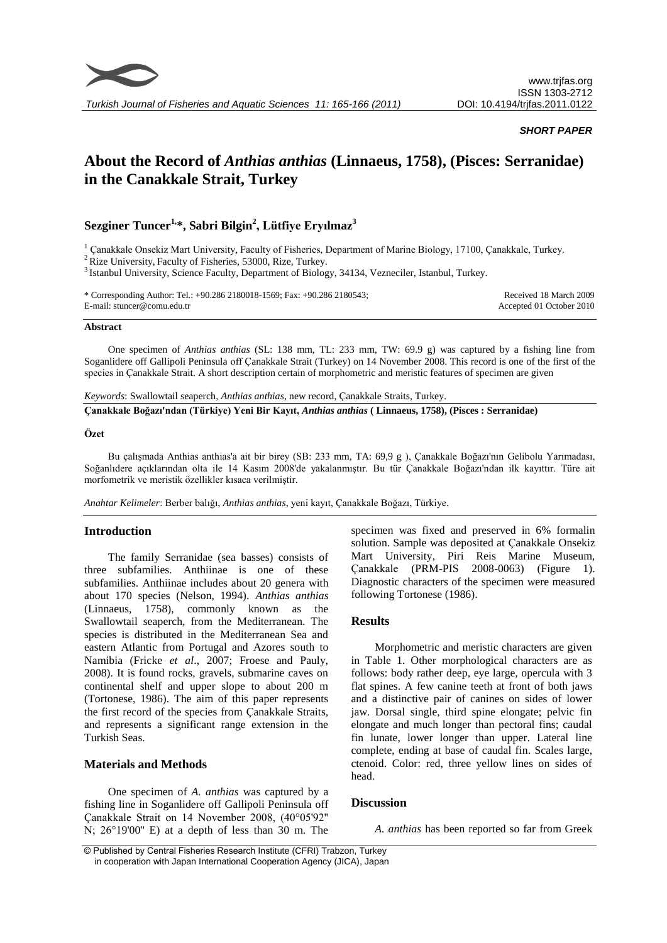

#### *SHORT PAPER*

# **About the Record of** *Anthias anthias* **(Linnaeus, 1758), (Pisces: Serranidae) in the Canakkale Strait, Turkey**

# **Sezginer Tuncer1,\*, Sabri Bilgin<sup>2</sup> , Lütfiye Eryılmaz<sup>3</sup>**

<sup>1</sup> Canakkale Onsekiz Mart University, Faculty of Fisheries, Department of Marine Biology, 17100, Çanakkale, Turkey.

 $2$  Rize University, Faculty of Fisheries, 53000, Rize, Turkey.

<sup>3</sup> Istanbul University, Science Faculty, Department of Biology, 34134, Vezneciler, Istanbul, Turkey.

| * Corresponding Author: Tel.: +90.286 2180018-1569; Fax: +90.286 2180543; | Received 18 March 2009   |
|---------------------------------------------------------------------------|--------------------------|
| E-mail: stuncer@comu.edu.tr                                               | Accepted 01 October 2010 |

#### **Abstract**

One specimen of *Anthias anthias* (SL: 138 mm, TL: 233 mm, TW: 69.9 g) was captured by a fishing line from Soganlidere off Gallipoli Peninsula off Çanakkale Strait (Turkey) on 14 November 2008. This record is one of the first of the species in Çanakkale Strait. A short description certain of morphometric and meristic features of specimen are given

*Keywords*: Swallowtail seaperch, *Anthias anthias*, new record, Çanakkale Straits, Turkey.

**Çanakkale Boğazı'ndan (Türkiye) Yeni Bir Kayıt,** *Anthias anthias* **( Linnaeus, 1758), (Pisces : Serranidae)**

#### **Özet**

Bu çalışmada Anthias anthias'a ait bir birey (SB: 233 mm, TA: 69,9 g ), Çanakkale Boğazı'nın Gelibolu Yarımadası, Soğanlıdere açıklarından olta ile 14 Kasım 2008'de yakalanmıştır. Bu tür Çanakkale Boğazı'ndan ilk kayıttır. Türe ait morfometrik ve meristik özellikler kısaca verilmiştir.

*Anahtar Kelimeler*: Berber balığı, *Anthias anthias*, yeni kayıt, Çanakkale Boğazı, Türkiye.

#### **Introduction**

The family Serranidae (sea basses) consists of three subfamilies. Anthiinae is one of these subfamilies. Anthiinae includes about 20 genera with about 170 species (Nelson, 1994). *Anthias anthias* (Linnaeus, 1758), commonly known as the Swallowtail seaperch, from the Mediterranean. The species is distributed in the Mediterranean Sea and eastern Atlantic from Portugal and Azores south to Namibia (Fricke *et al*., 2007; Froese and Pauly, 2008). It is found rocks, gravels, submarine caves on continental shelf and upper slope to about 200 m (Tortonese, 1986). The aim of this paper represents the first record of the species from Çanakkale Straits, and represents a significant range extension in the Turkish Seas.

# **Materials and Methods**

One specimen of *A. anthias* was captured by a fishing line in Soganlidere off Gallipoli Peninsula off Çanakkale Strait on 14 November 2008, (40°05'92'' N; 26°19'00'' E) at a depth of less than 30 m. The specimen was fixed and preserved in 6% formalin solution. Sample was deposited at Çanakkale Onsekiz Mart University, Piri Reis Marine Museum, Çanakkale (PRM-PIS 2008-0063) (Figure 1). Diagnostic characters of the specimen were measured following Tortonese (1986).

# **Results**

Morphometric and meristic characters are given in Table 1. Other morphological characters are as follows: body rather deep, eye large, opercula with 3 flat spines. A few canine teeth at front of both jaws and a distinctive pair of canines on sides of lower jaw. Dorsal single, third spine elongate; pelvic fin elongate and much longer than pectoral fins; caudal fin lunate, lower longer than upper. Lateral line complete, ending at base of caudal fin. Scales large, ctenoid. Color: red, three yellow lines on sides of head.

# **Discussion**

*A. anthias* has been reported so far from Greek

© Published by Central Fisheries Research Institute (CFRI) Trabzon, Turkey in cooperation with Japan International Cooperation Agency (JICA), Japan